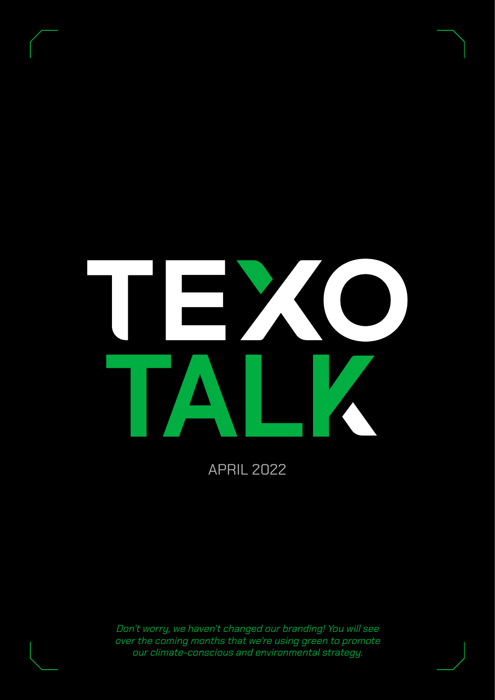

APRIL 2022

Don't worry, we haven't changed our branding! You will see over the coming months that we're using green to promote our climate-conscious and environmental strategy.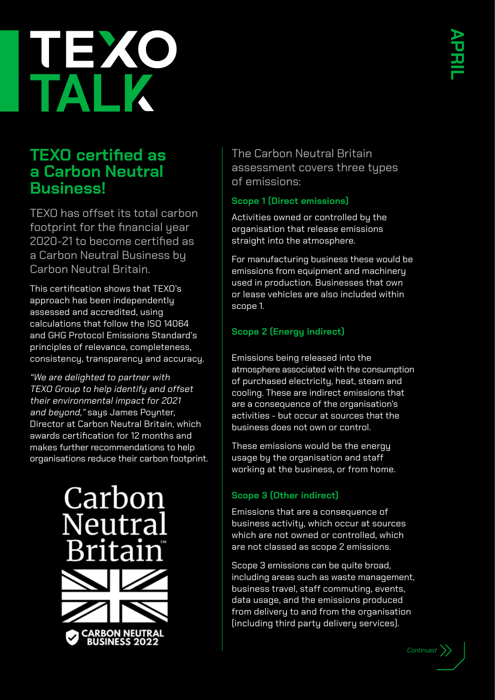

#### **TEXO certified as a Carbon Neutral Business!**

TEXO has offset its total carbon footprint for the financial year 2020-21 to become certified as a Carbon Neutral Business by Carbon Neutral Britain.

This certification shows that TEXO's approach has been independently assessed and accredited, using calculations that follow the ISO 14064 and GHG Protocol Emissions Standard's principles of relevance, completeness, consistency, transparency and accuracy.

"We are delighted to partner with TEXO Group to help identify and offset their environmental impact for 2021 and beyond," says James Poynter, Director at Carbon Neutral Britain, which awards certification for 12 months and makes further recommendations to help organisations reduce their carbon footprint.



The Carbon Neutral Britain assessment covers three types of emissions:

#### **Scope 1 (Direct emissions)**

Activities owned or controlled by the organisation that release emissions straight into the atmosphere.

For manufacturing business these would be emissions from equipment and machinery used in production. Businesses that own or lease vehicles are also included within scope 1.

#### **Scope 2 (Energy indirect)**

Emissions being released into the atmosphere associated with the consumption of purchased electricity, heat, steam and cooling. These are indirect emissions that are a consequence of the organisation's activities - but occur at sources that the business does not own or control.

These emissions would be the energy usage by the organisation and staff working at the business, or from home.

#### **Scope 3 (Other indirect)**

Emissions that are a consequence of business activity, which occur at sources which are not owned or controlled, which are not classed as scope 2 emissions.

Scope 3 emissions can be quite broad, including areas such as waste management, business travel, staff commuting, events, data usage, and the emissions produced from delivery to and from the organisation (including third party delivery services).

*Continued*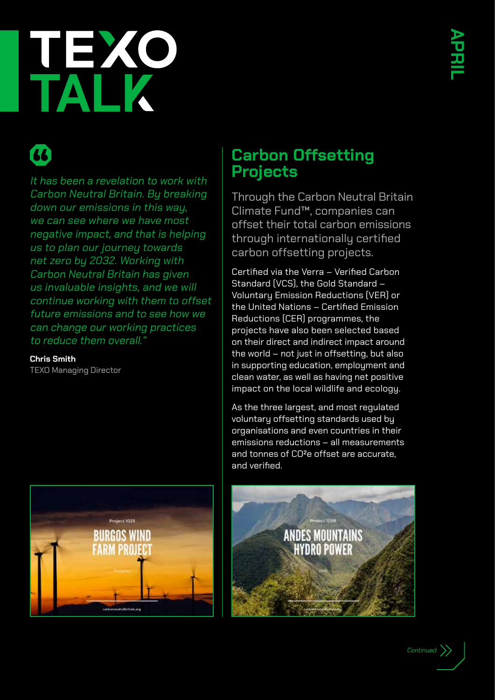# TALY

### $\boldsymbol{\alpha}$

It has been a revelation to work with Carbon Neutral Britain. By breaking down our emissions in this way, we can see where we have most negative impact, and that is helping us to plan our journey towards net zero by 2032. Working with Carbon Neutral Britain has given us invaluable insights, and we will continue working with them to offset future emissions and to see how we can change our working practices to reduce them overall."

**Chris Smith**

TEXO Managing Director



#### **Carbon Offsetting Projects**

Through the Carbon Neutral Britain Climate Fund™, companies can offset their total carbon emissions through internationally certified carbon offsetting projects.

Certified via the Verra – Verified Carbon Standard (VCS), the Gold Standard – Voluntary Emission Reductions (VER) or the United Nations – Certified Emission Reductions (CER) programmes, the projects have also been selected based on their direct and indirect impact around the world – not just in offsetting, but also in supporting education, employment and clean water, as well as having net positive impact on the local wildlife and ecology.

As the three largest, and most regulated voluntary offsetting standards used by organisations and even countries in their emissions reductions – all measurements and tonnes of CO²e offset are accurate, and verified.



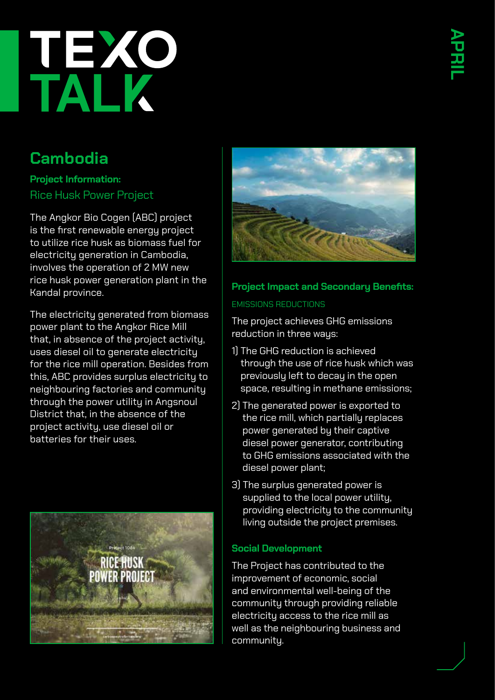# TRYP

### **Cambodia**

**Project Information:** Rice Husk Power Project

The Angkor Bio Cogen (ABC) project is the first renewable energy project to utilize rice husk as biomass fuel for electricity generation in Cambodia, involves the operation of 2 MW new rice husk power generation plant in the Kandal province.

The electricity generated from biomass power plant to the Angkor Rice Mill that, in absence of the project activity, uses diesel oil to generate electricity for the rice mill operation. Besides from this, ABC provides surplus electricity to neighbouring factories and community through the power utility in Angsnoul District that, in the absence of the project activity, use diesel oil or batteries for their uses.





#### **Project Impact and Secondary Benefits:** EMISSIONS REDUCTIONS

The project achieves GHG emissions reduction in three ways:

- 1) The GHG reduction is achieved through the use of rice husk which was previously left to decay in the open space, resulting in methane emissions;
- 2) The generated power is exported to the rice mill, which partially replaces power generated by their captive diesel power generator, contributing to GHG emissions associated with the diesel power plant;
- 3) The surplus generated power is supplied to the local power utility, providing electricity to the community living outside the project premises.

#### **Social Development**

The Project has contributed to the improvement of economic, social and environmental well-being of the community through providing reliable electricity access to the rice mill as well as the neighbouring business and community.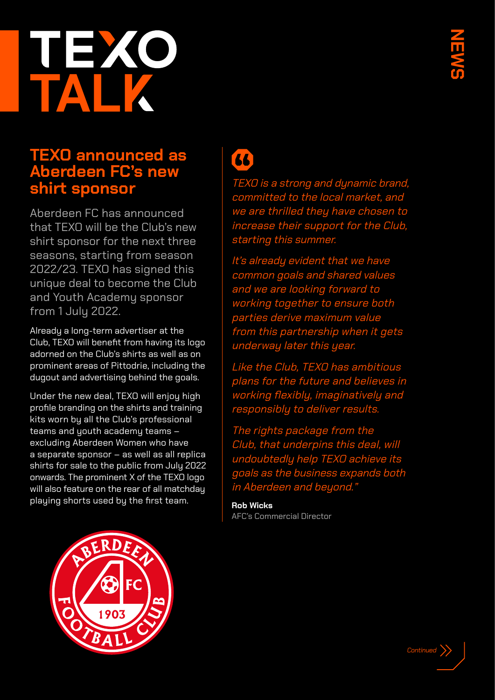# EX

#### **TEXO announced as Aberdeen FC's new shirt sponsor**

Aberdeen FC has announced that TEXO will be the Club's new shirt sponsor for the next three seasons, starting from season 2022/23. TEXO has signed this unique deal to become the Club and Youth Academy sponsor from 1 July 2022.

Already a long-term advertiser at the Club, TEXO will benefit from having its logo adorned on the Club's shirts as well as on prominent areas of Pittodrie, including the dugout and advertising behind the goals.

Under the new deal, TEXO will enjoy high profile branding on the shirts and training kits worn by all the Club's professional teams and youth academy teams – excluding Aberdeen Women who have a separate sponsor – as well as all replica shirts for sale to the public from July 2022 onwards. The prominent X of the TEXO logo will also feature on the rear of all matchday playing shorts used by the first team.



### 44

TEXO is a strong and dynamic brand, committed to the local market, and we are thrilled they have chosen to increase their support for the Club, starting this summer.

It's already evident that we have common goals and shared values and we are looking forward to working together to ensure both parties derive maximum value from this partnership when it gets underway later this year.

Like the Club, TEXO has ambitious plans for the future and believes in working flexibly, imaginatively and responsibly to deliver results.

The rights package from the Club, that underpins this deal, will undoubtedly help TEXO achieve its goals as the business expands both in Aberdeen and beyond."

**Rob Wicks** AFC's Commercial Director

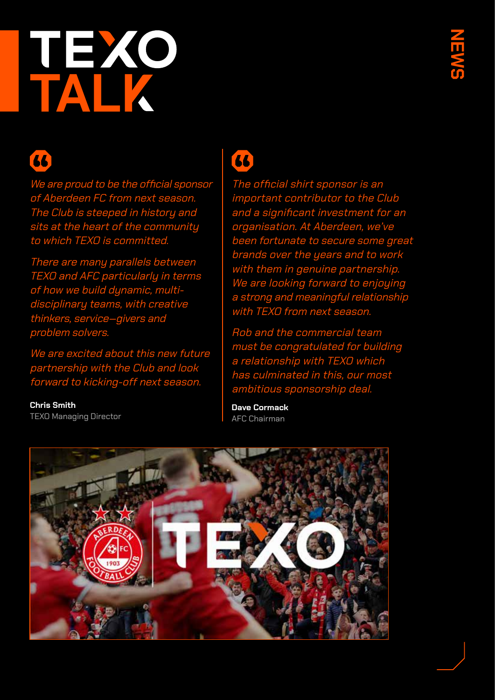# TALK

### 44

We are proud to be the official sponsor of Aberdeen FC from next season. The Club is steeped in history and sits at the heart of the community to which TEXO is committed.

There are many parallels between TEXO and AFC particularly in terms of how we build dynamic, multidisciplinary teams, with creative thinkers, service‐givers and problem solvers.

We are excited about this new future partnership with the Club and look forward to kicking-off next season.

**Chris Smith** TEXO Managing Director

### $\overline{a}$

The official shirt sponsor is an important contributor to the Club and a significant investment for an organisation. At Aberdeen, we've been fortunate to secure some great brands over the years and to work with them in genuine partnership. We are looking forward to enjoying a strong and meaningful relationship with TEXO from next season.

Rob and the commercial team must be congratulated for building a relationship with TEXO which has culminated in this, our most ambitious sponsorship deal.

**Dave Cormack** AFC Chairman

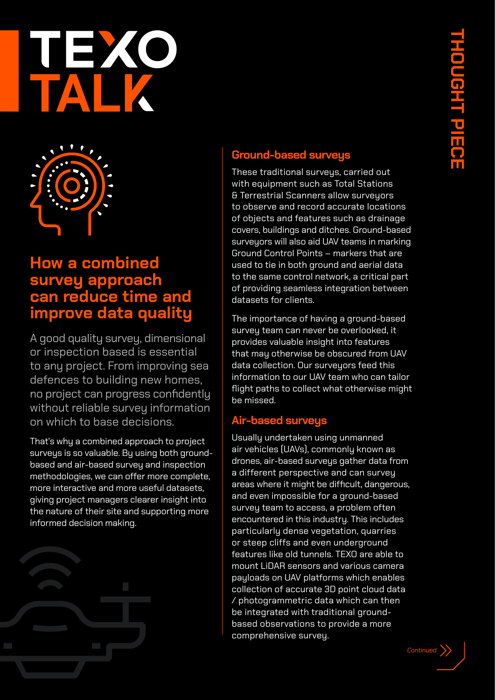



#### **How a combined survey approach can reduce time and improve data quality**

A good quality survey, dimensional or inspection based is essential to any project. From improving sea defences to building new homes, no project can progress confidently without reliable survey information on which to base decisions.

That's why a combined approach to project surveys is so valuable. By using both groundbased and air-based survey and inspection methodologies, we can offer more complete, more interactive and more useful datasets, giving project managers clearer insight into the nature of their site and supporting more informed decision making.



#### **Ground-based surveys**

These traditional surveys, carried out with equipment such as Total Stations & Terrestrial Scanners allow surveyors to observe and record accurate locations of objects and features such as drainage covers, buildings and ditches. Ground-based surveyors will also aid UAV teams in marking Ground Control Points – markers that are used to tie in both ground and aerial data to the same control network, a critical part of providing seamless integration between datasets for clients.

The importance of having a ground-based survey team can never be overlooked, it provides valuable insight into features that may otherwise be obscured from UAV data collection. Our surveyors feed this information to our UAV team who can tailor flight paths to collect what otherwise might be missed.

#### **Air-based surveys**

Usually undertaken using unmanned air vehicles (UAVs), commonly known as drones, air-based surveys gather data from a different perspective and can survey areas where it might be difficult, dangerous, and even impossible for a ground-based surveu team to access, a problem often encountered in this industry. This includes particularly dense vegetation, quarries or steep cliffs and even underground features like old tunnels. TEXO are able to mount LiDAR sensors and various camera payloads on UAV platforms which enables collection of accurate 3D point cloud data / photogrammetric data which can then be integrated with traditional groundbased observations to provide a more comprehensive survey.

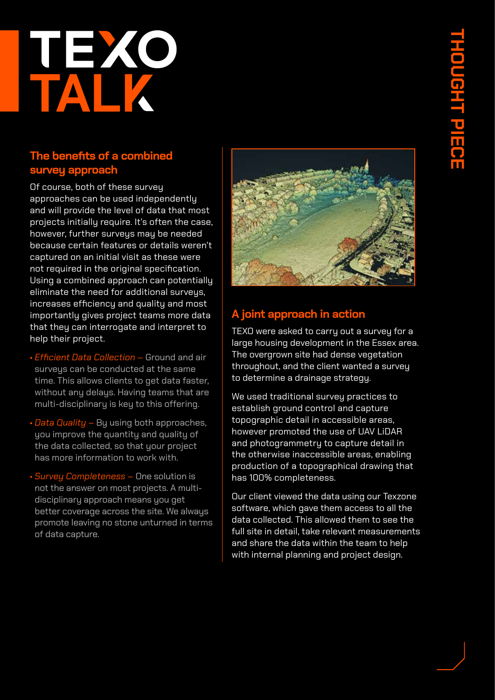# **THOUGHT PIECE LOUGHT** <u>u</u><br>Ho

# TALK

#### **The benefits of a combined survey approach**

Of course, both of these survey approaches can be used independently and will provide the level of data that most projects initially require. It's often the case, however, further surveys may be needed because certain features or details weren't captured on an initial visit as these were not required in the original specification. Using a combined approach can potentially eliminate the need for additional surveys, increases efficiency and quality and most importantly gives project teams more data that they can interrogate and interpret to help their project.

- *Efficient Data Collection –* Ground and air surveus can be conducted at the same time. This allows clients to get data faster, without any delays. Having teams that are multi-disciplinary is key to this offering.
- *Data Quality –* By using both approaches, you improve the quantity and quality of the data collected, so that your project has more information to work with.
- *Survey Completeness –* One solution is not the answer on most projects. A multidisciplinary approach means you get better coverage across the site. We always promote leaving no stone unturned in terms of data capture.



#### **A joint approach in action**

TEXO were asked to carru out a surveu for a large housing development in the Essex area. The overgrown site had dense vegetation throughout, and the client wanted a survey to determine a drainage strategy.

We used traditional survey practices to establish ground control and capture topographic detail in accessible areas, however promoted the use of UAV LiDAR and photogrammetry to capture detail in the otherwise inaccessible areas, enabling production of a topographical drawing that has 100% completeness.

Our client viewed the data using our Texzone software, which gave them access to all the data collected. This allowed them to see the full site in detail, take relevant measurements and share the data within the team to help with internal planning and project design.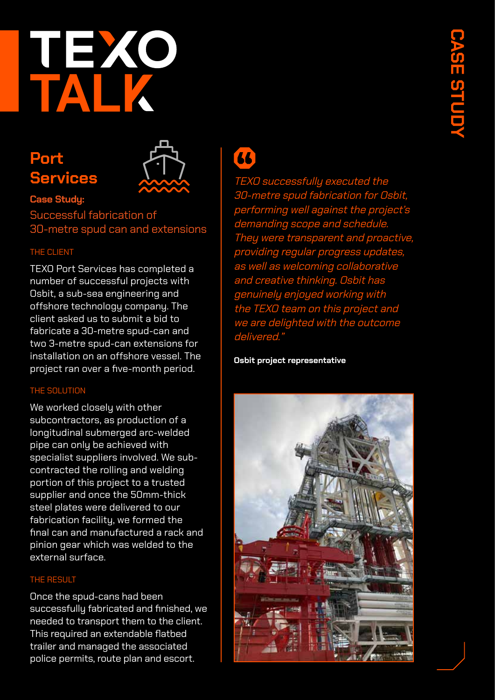

### **Port Services**



#### **Case Study:** Successful fabrication of 30-metre spud can and extensions

#### THE CLIENT

TEXO Port Services has completed a number of successful projects with Osbit, a sub-sea engineering and offshore technology company. The client asked us to submit a bid to fabricate a 30-metre spud-can and two 3-metre spud-can extensions for installation on an offshore vessel. The project ran over a five-month period.

#### THE SOLUTION

We worked closely with other subcontractors, as production of a longitudinal submerged arc-welded pipe can only be achieved with specialist suppliers involved. We subcontracted the rolling and welding portion of this project to a trusted supplier and once the 50mm-thick steel plates were delivered to our fabrication facility, we formed the final can and manufactured a rack and pinion gear which was welded to the external surface.

#### THE RESULT

Once the spud-cans had been successfully fabricated and finished, we needed to transport them to the client. This required an extendable flatbed trailer and managed the associated police permits, route plan and escort.

36

TEXO successfully executed the 30-metre spud fabrication for Osbit, performing well against the project's demanding scope and schedule. They were transparent and proactive, providing regular progress update as well as welcoming collaborative and creative thinking. Osbit has genuinely enjoyed working with the TEXO team on this project and we are delighted with the outcome delivered."

#### **Osbit project representative**

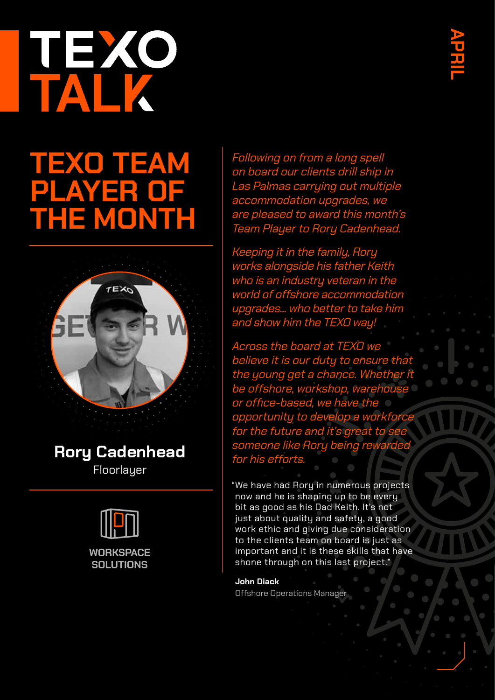# TEXO

## **TEXO TEAM PLAYER OF THE MONTH**



#### **Rory Cadenhead Floorlauer**



Following on from a long spell on board our clients drill ship in Las Palmas carrying out multiple accommodation upgrades, we are pleased to award this month's Team Player to Rory Cadenhead.

Keeping it in the family, Rory works alongside his father Keith who is an industry veteran in the world of offshore accommodation upgrades... who better to take him and show him the TEXO way!

Across the board at TEXO we believe it is our duty to ensure that the young get a chance. Whether it be offshore, workshop, warehouse or office-based, we have the opportunity to develop a workforce for the future and it's great to see someone like Rory being rewarded for his efforts.

"We have had Rory in numerous projects now and he is shaping up to be every bit as good as his Dad Keith. It's not just about quality and safety, a good work ethic and giving due consideration to the clients team on board is just as important and it is these skills that have shone through on this last project."

**John Diack** Offshore Operations Manager